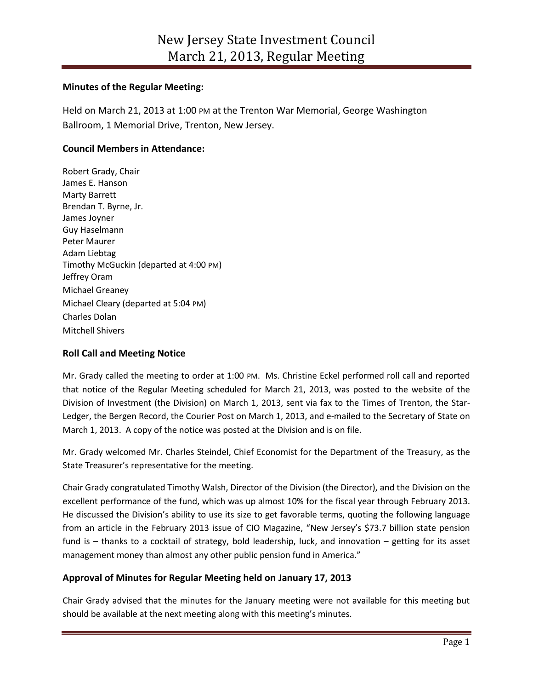## **Minutes of the Regular Meeting:**

Held on March 21, 2013 at 1:00 PM at the Trenton War Memorial, George Washington Ballroom, 1 Memorial Drive, Trenton, New Jersey.

# **Council Members in Attendance:**

Robert Grady, Chair James E. Hanson Marty Barrett Brendan T. Byrne, Jr. James Joyner Guy Haselmann Peter Maurer Adam Liebtag Timothy McGuckin (departed at 4:00 PM) Jeffrey Oram Michael Greaney Michael Cleary (departed at 5:04 PM) Charles Dolan Mitchell Shivers

# **Roll Call and Meeting Notice**

Mr. Grady called the meeting to order at 1:00 PM. Ms. Christine Eckel performed roll call and reported that notice of the Regular Meeting scheduled for March 21, 2013, was posted to the website of the Division of Investment (the Division) on March 1, 2013, sent via fax to the Times of Trenton, the Star-Ledger, the Bergen Record, the Courier Post on March 1, 2013, and e-mailed to the Secretary of State on March 1, 2013. A copy of the notice was posted at the Division and is on file.

Mr. Grady welcomed Mr. Charles Steindel, Chief Economist for the Department of the Treasury, as the State Treasurer's representative for the meeting.

Chair Grady congratulated Timothy Walsh, Director of the Division (the Director), and the Division on the excellent performance of the fund, which was up almost 10% for the fiscal year through February 2013. He discussed the Division's ability to use its size to get favorable terms, quoting the following language from an article in the February 2013 issue of CIO Magazine, "New Jersey's \$73.7 billion state pension fund is – thanks to a cocktail of strategy, bold leadership, luck, and innovation – getting for its asset management money than almost any other public pension fund in America."

# **Approval of Minutes for Regular Meeting held on January 17, 2013**

Chair Grady advised that the minutes for the January meeting were not available for this meeting but should be available at the next meeting along with this meeting's minutes.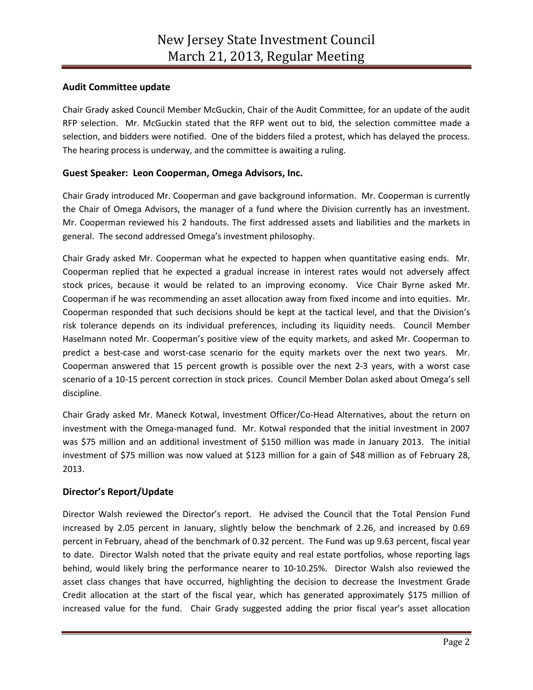# **Audit Committee update**

Chair Grady asked Council Member McGuckin, Chair of the Audit Committee, for an update of the audit RFP selection. Mr. McGuckin stated that the RFP went out to bid, the selection committee made a selection, and bidders were notified. One of the bidders filed a protest, which has delayed the process. The hearing process is underway, and the committee is awaiting a ruling.

# **Guest Speaker: Leon Cooperman, Omega Advisors, Inc.**

Chair Grady introduced Mr. Cooperman and gave background information. Mr. Cooperman is currently the Chair of Omega Advisors, the manager of a fund where the Division currently has an investment. Mr. Cooperman reviewed his 2 handouts. The first addressed assets and liabilities and the markets in general. The second addressed Omega's investment philosophy.

Chair Grady asked Mr. Cooperman what he expected to happen when quantitative easing ends. Mr. Cooperman replied that he expected a gradual increase in interest rates would not adversely affect stock prices, because it would be related to an improving economy. Vice Chair Byrne asked Mr. Cooperman if he was recommending an asset allocation away from fixed income and into equities. Mr. Cooperman responded that such decisions should be kept at the tactical level, and that the Division's risk tolerance depends on its individual preferences, including its liquidity needs. Council Member Haselmann noted Mr. Cooperman's positive view of the equity markets, and asked Mr. Cooperman to predict a best-case and worst-case scenario for the equity markets over the next two years. Mr. Cooperman answered that 15 percent growth is possible over the next 2-3 years, with a worst case scenario of a 10-15 percent correction in stock prices. Council Member Dolan asked about Omega's sell discipline.

Chair Grady asked Mr. Maneck Kotwal, Investment Officer/Co-Head Alternatives, about the return on investment with the Omega-managed fund. Mr. Kotwal responded that the initial investment in 2007 was \$75 million and an additional investment of \$150 million was made in January 2013. The initial investment of \$75 million was now valued at \$123 million for a gain of \$48 million as of February 28, 2013.

# **Director's Report/Update**

Director Walsh reviewed the Director's report. He advised the Council that the Total Pension Fund increased by 2.05 percent in January, slightly below the benchmark of 2.26, and increased by 0.69 percent in February, ahead of the benchmark of 0.32 percent. The Fund was up 9.63 percent, fiscal year to date. Director Walsh noted that the private equity and real estate portfolios, whose reporting lags behind, would likely bring the performance nearer to 10-10.25%. Director Walsh also reviewed the asset class changes that have occurred, highlighting the decision to decrease the Investment Grade Credit allocation at the start of the fiscal year, which has generated approximately \$175 million of increased value for the fund. Chair Grady suggested adding the prior fiscal year's asset allocation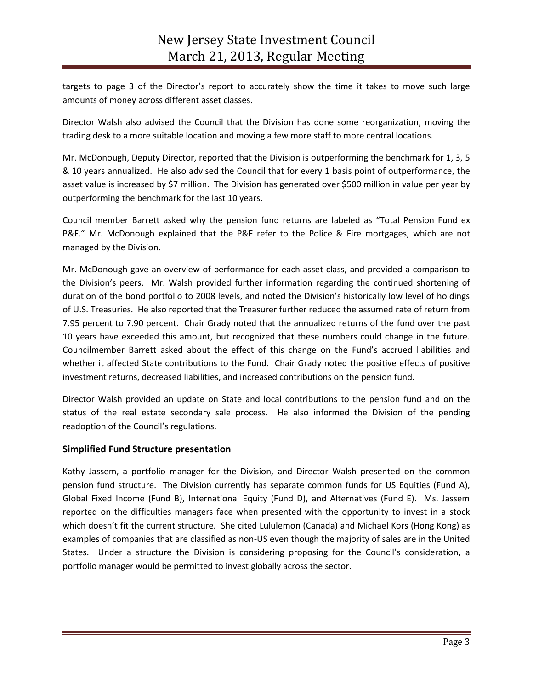targets to page 3 of the Director's report to accurately show the time it takes to move such large amounts of money across different asset classes.

Director Walsh also advised the Council that the Division has done some reorganization, moving the trading desk to a more suitable location and moving a few more staff to more central locations.

Mr. McDonough, Deputy Director, reported that the Division is outperforming the benchmark for 1, 3, 5 & 10 years annualized. He also advised the Council that for every 1 basis point of outperformance, the asset value is increased by \$7 million. The Division has generated over \$500 million in value per year by outperforming the benchmark for the last 10 years.

Council member Barrett asked why the pension fund returns are labeled as "Total Pension Fund ex P&F." Mr. McDonough explained that the P&F refer to the Police & Fire mortgages, which are not managed by the Division.

Mr. McDonough gave an overview of performance for each asset class, and provided a comparison to the Division's peers. Mr. Walsh provided further information regarding the continued shortening of duration of the bond portfolio to 2008 levels, and noted the Division's historically low level of holdings of U.S. Treasuries. He also reported that the Treasurer further reduced the assumed rate of return from 7.95 percent to 7.90 percent. Chair Grady noted that the annualized returns of the fund over the past 10 years have exceeded this amount, but recognized that these numbers could change in the future. Councilmember Barrett asked about the effect of this change on the Fund's accrued liabilities and whether it affected State contributions to the Fund. Chair Grady noted the positive effects of positive investment returns, decreased liabilities, and increased contributions on the pension fund.

Director Walsh provided an update on State and local contributions to the pension fund and on the status of the real estate secondary sale process. He also informed the Division of the pending readoption of the Council's regulations.

# **Simplified Fund Structure presentation**

Kathy Jassem, a portfolio manager for the Division, and Director Walsh presented on the common pension fund structure. The Division currently has separate common funds for US Equities (Fund A), Global Fixed Income (Fund B), International Equity (Fund D), and Alternatives (Fund E). Ms. Jassem reported on the difficulties managers face when presented with the opportunity to invest in a stock which doesn't fit the current structure. She cited Lululemon (Canada) and Michael Kors (Hong Kong) as examples of companies that are classified as non-US even though the majority of sales are in the United States. Under a structure the Division is considering proposing for the Council's consideration, a portfolio manager would be permitted to invest globally across the sector.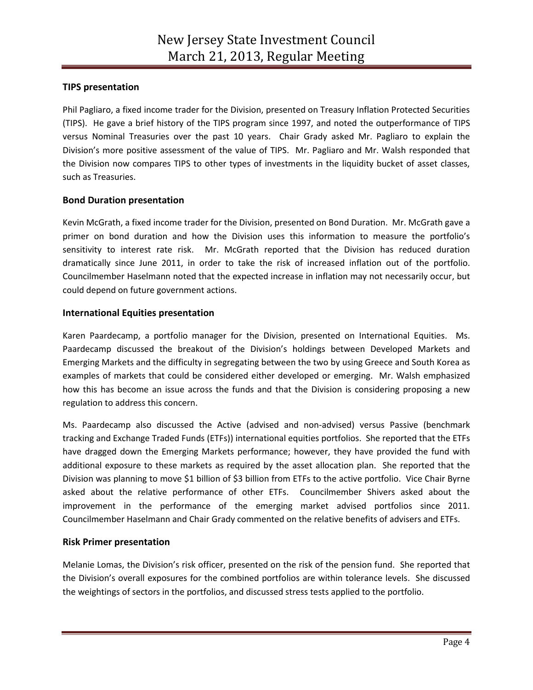# **TIPS presentation**

Phil Pagliaro, a fixed income trader for the Division, presented on Treasury Inflation Protected Securities (TIPS). He gave a brief history of the TIPS program since 1997, and noted the outperformance of TIPS versus Nominal Treasuries over the past 10 years. Chair Grady asked Mr. Pagliaro to explain the Division's more positive assessment of the value of TIPS. Mr. Pagliaro and Mr. Walsh responded that the Division now compares TIPS to other types of investments in the liquidity bucket of asset classes, such as Treasuries.

# **Bond Duration presentation**

Kevin McGrath, a fixed income trader for the Division, presented on Bond Duration. Mr. McGrath gave a primer on bond duration and how the Division uses this information to measure the portfolio's sensitivity to interest rate risk. Mr. McGrath reported that the Division has reduced duration dramatically since June 2011, in order to take the risk of increased inflation out of the portfolio. Councilmember Haselmann noted that the expected increase in inflation may not necessarily occur, but could depend on future government actions.

#### **International Equities presentation**

Karen Paardecamp, a portfolio manager for the Division, presented on International Equities. Ms. Paardecamp discussed the breakout of the Division's holdings between Developed Markets and Emerging Markets and the difficulty in segregating between the two by using Greece and South Korea as examples of markets that could be considered either developed or emerging. Mr. Walsh emphasized how this has become an issue across the funds and that the Division is considering proposing a new regulation to address this concern.

Ms. Paardecamp also discussed the Active (advised and non-advised) versus Passive (benchmark tracking and Exchange Traded Funds (ETFs)) international equities portfolios. She reported that the ETFs have dragged down the Emerging Markets performance; however, they have provided the fund with additional exposure to these markets as required by the asset allocation plan. She reported that the Division was planning to move \$1 billion of \$3 billion from ETFs to the active portfolio. Vice Chair Byrne asked about the relative performance of other ETFs. Councilmember Shivers asked about the improvement in the performance of the emerging market advised portfolios since 2011. Councilmember Haselmann and Chair Grady commented on the relative benefits of advisers and ETFs.

#### **Risk Primer presentation**

Melanie Lomas, the Division's risk officer, presented on the risk of the pension fund. She reported that the Division's overall exposures for the combined portfolios are within tolerance levels. She discussed the weightings of sectors in the portfolios, and discussed stress tests applied to the portfolio.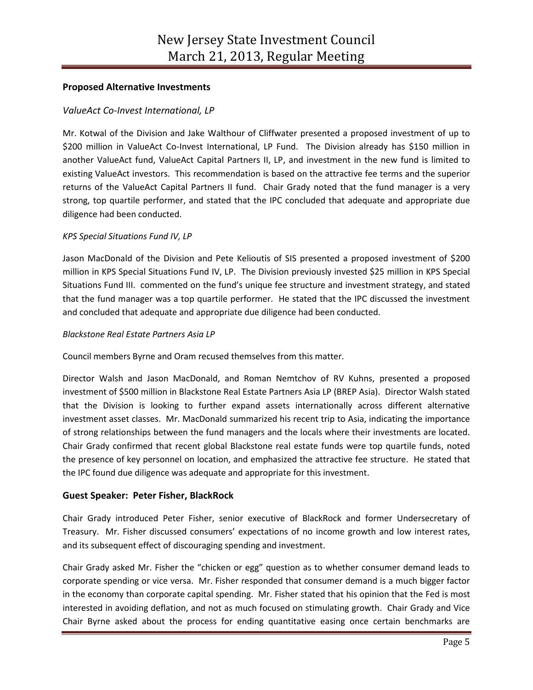## **Proposed Alternative Investments**

## *ValueAct Co-Invest International, LP*

Mr. Kotwal of the Division and Jake Walthour of Cliffwater presented a proposed investment of up to \$200 million in ValueAct Co-Invest International, LP Fund. The Division already has \$150 million in another ValueAct fund, ValueAct Capital Partners II, LP, and investment in the new fund is limited to existing ValueAct investors. This recommendation is based on the attractive fee terms and the superior returns of the ValueAct Capital Partners II fund. Chair Grady noted that the fund manager is a very strong, top quartile performer, and stated that the IPC concluded that adequate and appropriate due diligence had been conducted.

#### *KPS Special Situations Fund IV, LP*

Jason MacDonald of the Division and Pete Kelioutis of SIS presented a proposed investment of \$200 million in KPS Special Situations Fund IV, LP. The Division previously invested \$25 million in KPS Special Situations Fund III. commented on the fund's unique fee structure and investment strategy, and stated that the fund manager was a top quartile performer. He stated that the IPC discussed the investment and concluded that adequate and appropriate due diligence had been conducted.

#### *Blackstone Real Estate Partners Asia LP*

Council members Byrne and Oram recused themselves from this matter.

Director Walsh and Jason MacDonald, and Roman Nemtchov of RV Kuhns, presented a proposed investment of \$500 million in Blackstone Real Estate Partners Asia LP (BREP Asia). Director Walsh stated that the Division is looking to further expand assets internationally across different alternative investment asset classes. Mr. MacDonald summarized his recent trip to Asia, indicating the importance of strong relationships between the fund managers and the locals where their investments are located. Chair Grady confirmed that recent global Blackstone real estate funds were top quartile funds, noted the presence of key personnel on location, and emphasized the attractive fee structure. He stated that the IPC found due diligence was adequate and appropriate for this investment.

#### **Guest Speaker: Peter Fisher, BlackRock**

Chair Grady introduced Peter Fisher, senior executive of BlackRock and former Undersecretary of Treasury. Mr. Fisher discussed consumers' expectations of no income growth and low interest rates, and its subsequent effect of discouraging spending and investment.

Chair Grady asked Mr. Fisher the "chicken or egg" question as to whether consumer demand leads to corporate spending or vice versa. Mr. Fisher responded that consumer demand is a much bigger factor in the economy than corporate capital spending. Mr. Fisher stated that his opinion that the Fed is most interested in avoiding deflation, and not as much focused on stimulating growth. Chair Grady and Vice Chair Byrne asked about the process for ending quantitative easing once certain benchmarks are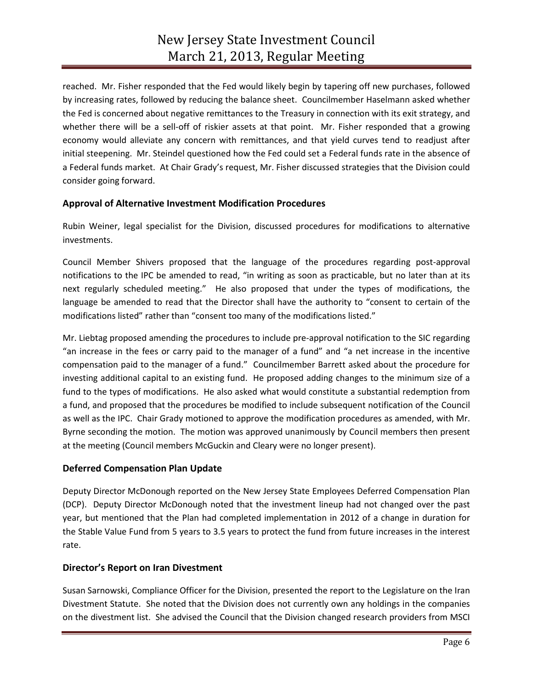reached. Mr. Fisher responded that the Fed would likely begin by tapering off new purchases, followed by increasing rates, followed by reducing the balance sheet. Councilmember Haselmann asked whether the Fed is concerned about negative remittances to the Treasury in connection with its exit strategy, and whether there will be a sell-off of riskier assets at that point. Mr. Fisher responded that a growing economy would alleviate any concern with remittances, and that yield curves tend to readjust after initial steepening. Mr. Steindel questioned how the Fed could set a Federal funds rate in the absence of a Federal funds market. At Chair Grady's request, Mr. Fisher discussed strategies that the Division could consider going forward.

#### **Approval of Alternative Investment Modification Procedures**

Rubin Weiner, legal specialist for the Division, discussed procedures for modifications to alternative investments.

Council Member Shivers proposed that the language of the procedures regarding post-approval notifications to the IPC be amended to read, "in writing as soon as practicable, but no later than at its next regularly scheduled meeting." He also proposed that under the types of modifications, the language be amended to read that the Director shall have the authority to "consent to certain of the modifications listed" rather than "consent too many of the modifications listed."

Mr. Liebtag proposed amending the procedures to include pre-approval notification to the SIC regarding "an increase in the fees or carry paid to the manager of a fund" and "a net increase in the incentive compensation paid to the manager of a fund." Councilmember Barrett asked about the procedure for investing additional capital to an existing fund. He proposed adding changes to the minimum size of a fund to the types of modifications. He also asked what would constitute a substantial redemption from a fund, and proposed that the procedures be modified to include subsequent notification of the Council as well as the IPC. Chair Grady motioned to approve the modification procedures as amended, with Mr. Byrne seconding the motion. The motion was approved unanimously by Council members then present at the meeting (Council members McGuckin and Cleary were no longer present).

#### **Deferred Compensation Plan Update**

Deputy Director McDonough reported on the New Jersey State Employees Deferred Compensation Plan (DCP). Deputy Director McDonough noted that the investment lineup had not changed over the past year, but mentioned that the Plan had completed implementation in 2012 of a change in duration for the Stable Value Fund from 5 years to 3.5 years to protect the fund from future increases in the interest rate.

#### **Director's Report on Iran Divestment**

Susan Sarnowski, Compliance Officer for the Division, presented the report to the Legislature on the Iran Divestment Statute. She noted that the Division does not currently own any holdings in the companies on the divestment list. She advised the Council that the Division changed research providers from MSCI